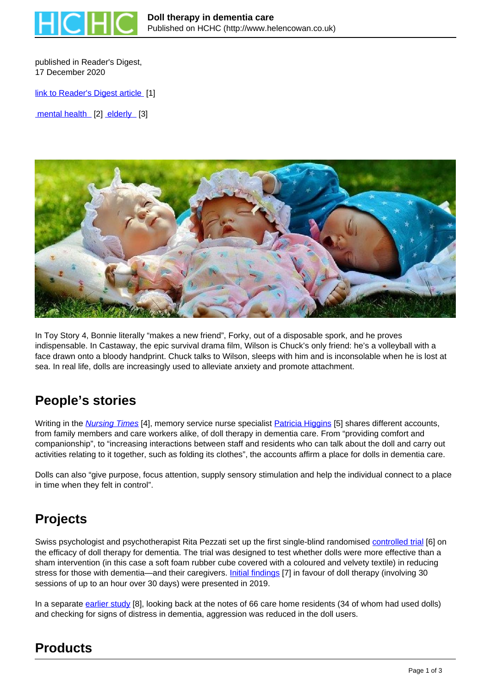

published in Reader's Digest. 17 December 2020

[link to Reader's Digest article](https://www.readersdigest.co.uk/health/health-conditions/doll-therapy-in-dementia-care) [1]

mental health [2] elderly [3]



In Toy Story 4, Bonnie literally "makes a new friend", Forky, out of a disposable spork, and he proves indispensable. In Castaway, the epic survival drama film, Wilson is Chuck's only friend: he's a volleyball with a face drawn onto a bloody handprint. Chuck talks to Wilson, sleeps with him and is inconsolable when he is lost at sea. In real life, dolls are increasingly used to alleviate anxiety and promote attachment.

## **People's stories**

Writing in the **Nursing Times** [4], memory service nurse specialist **Patricia Higgins** [5] shares different accounts, from family members and care workers alike, of doll therapy in dementia care. From "providing comfort and companionship", to "increasing interactions between staff and residents who can talk about the doll and carry out activities relating to it together, such as folding its clothes", the accounts affirm a place for dolls in dementia care.

Dolls can also "give purpose, focus attention, supply sensory stimulation and help the individual connect to a place in time when they felt in control".

#### **Projects**

Swiss psychologist and psychotherapist Rita Pezzati set up the first single-blind randomised controlled trial [6] on the efficacy of doll therapy for dementia. The trial was designed to test whether dolls were more effective than a sham intervention (in this case a soft foam rubber cube covered with a coloured and velvety textile) in reducing stress for those with dementia—and their caregivers. Initial findings [7] in favour of doll therapy (involving 30 sessions of up to an hour over 30 days) were presented in 2019.

In a separate earlier study [8], looking back at the notes of 66 care home residents (34 of whom had used dolls) and checking for signs of distress in dementia, aggression was reduced in the doll users.

# **Products**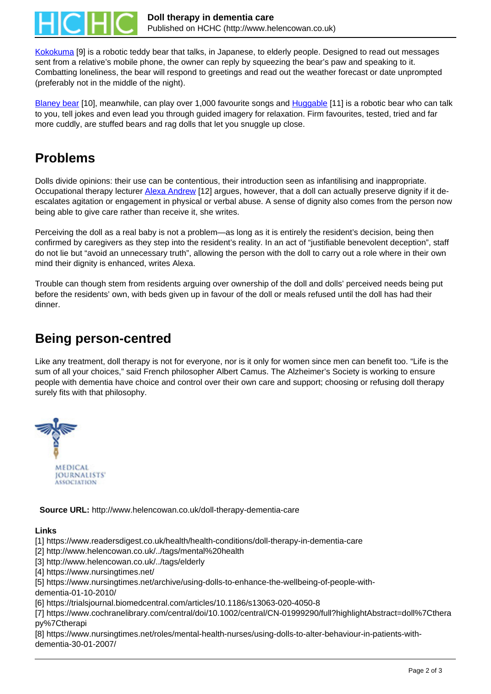

Kokokuma [9] is a robotic teddy bear that talks, in Japanese, to elderly people. Designed to read out messages sent from a relative's mobile phone, the owner can reply by squeezing the bear's paw and speaking to it. Combatting loneliness, the bear will respond to greetings and read out the weather forecast or date unprompted (preferably not in the middle of the night).

Blaney bear [10], meanwhile, can play over 1,000 favourite songs and **Huggable** [11] is a robotic bear who can talk to you, tell jokes and even lead you through guided imagery for relaxation. Firm favourites, tested, tried and far more cuddly, are stuffed bears and rag dolls that let you snuggle up close.

### **Problems**

Dolls divide opinions: their use can be contentious, their introduction seen as infantilising and inappropriate. Occupational therapy lecturer Alexa Andrew [12] argues, however, that a doll can actually preserve dignity if it deescalates agitation or engagement in physical or verbal abuse. A sense of dignity also comes from the person now being able to give care rather than receive it, she writes.

Perceiving the doll as a real baby is not a problem—as long as it is entirely the resident's decision, being then confirmed by caregivers as they step into the resident's reality. In an act of "justifiable benevolent deception", staff do not lie but "avoid an unnecessary truth", allowing the person with the doll to carry out a role where in their own mind their dignity is enhanced, writes Alexa.

Trouble can though stem from residents arguing over ownership of the doll and dolls' perceived needs being put before the residents' own, with beds given up in favour of the doll or meals refused until the doll has had their dinner.

#### **Being person-centred**

Like any treatment, doll therapy is not for everyone, nor is it only for women since men can benefit too. "Life is the sum of all your choices," said French philosopher Albert Camus. The Alzheimer's Society is working to ensure people with dementia have choice and control over their own care and support; choosing or refusing doll therapy surely fits with that philosophy.



**Source URL:** http://www.helencowan.co.uk/doll-therapy-dementia-care

#### **Links**

[1] https://www.readersdigest.co.uk/health/health-conditions/doll-therapy-in-dementia-care

[2] http://www.helencowan.co.uk/../tags/mental%20health

[3] http://www.helencowan.co.uk/../tags/elderly

[4] https://www.nursingtimes.net/

[5] https://www.nursingtimes.net/archive/using-dolls-to-enhance-the-wellbeing-of-people-with-

dementia-01-10-2010/

[6] https://trialsjournal.biomedcentral.com/articles/10.1186/s13063-020-4050-8

[7] https://www.cochranelibrary.com/central/doi/10.1002/central/CN-01999290/full?highlightAbstract=doll%7Cthera py%7Ctherapi

[8] https://www.nursingtimes.net/roles/mental-health-nurses/using-dolls-to-alter-behaviour-in-patients-withdementia-30-01-2007/